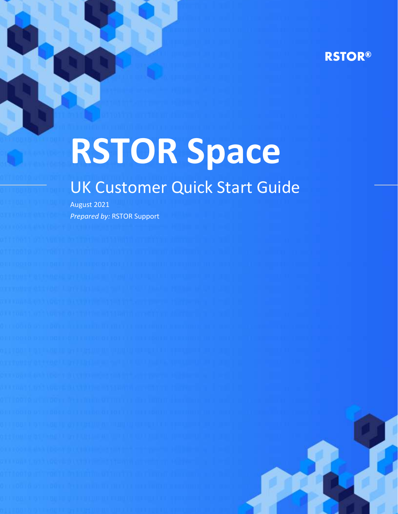# **RSTOR®**

# **RSTOR Space**

# UK Customer Quick Start Guide

August 2021 *Prepared by:* RSTOR Support

rstor.io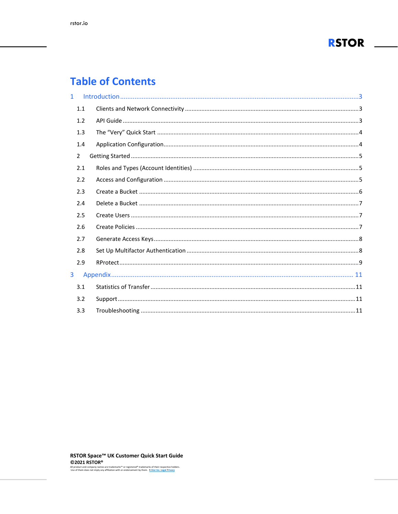

# **Table of Contents**

| $\mathbf{1}$ |                |  |
|--------------|----------------|--|
|              | 1.1            |  |
|              | 1.2            |  |
|              | 1.3            |  |
|              | 1.4            |  |
|              | $\overline{2}$ |  |
|              | 2.1            |  |
|              | 2.2            |  |
|              | 2.3            |  |
|              | 2.4            |  |
|              | 2.5            |  |
|              | 2.6            |  |
|              | 2.7            |  |
|              | 2.8            |  |
|              | 2.9            |  |
| 3            |                |  |
|              | 3.1            |  |
|              | 3.2            |  |
|              | 3.3            |  |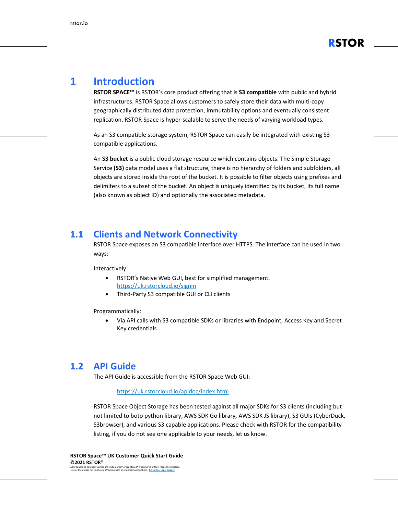

## <span id="page-2-0"></span>**1 Introduction**

**RSTOR SPACE™** is RSTOR's core product offering that is **S3 compatible** with public and hybrid infrastructures. RSTOR Space allows customers to safely store their data with multi-copy geographically distributed data protection, immutability options and eventually consistent replication. RSTOR Space is hyper-scalable to serve the needs of varying workload types.

As an S3 compatible storage system, RSTOR Space can easily be integrated with existing S3 compatible applications.

An **S3 bucket** is a public cloud storage resource which contains objects. The Simple Storage Service **(S3)** data model uses a flat structure, there is no hierarchy of folders and subfolders, all objects are stored inside the root of the bucket. It is possible to filter objects using prefixes and delimiters to a subset of the bucket. An object is uniquely identified by its bucket, its full name (also known as object ID) and optionally the associated metadata.

#### <span id="page-2-1"></span>**1.1 Clients and Network Connectivity**

RSTOR Space exposes an S3 compatible interface over HTTPS. The interface can be used in two ways:

Interactively:

- RSTOR's Native Web GUI, best for simplified management. <https://uk.rstorcloud.io/signin>
- Third-Party S3 compatible GUI or CLI clients

Programmatically:

• Via API calls with S3 compatible SDKs or libraries with Endpoint, Access Key and Secret Key credentials

#### <span id="page-2-2"></span>**1.2 API Guide**

The API Guide is accessible from the RSTOR Space Web GUI:

#### <https://uk.rstorcloud.io/apidoc/index.html>

RSTOR Space Object Storage has been tested against all major SDKs for S3 clients (including but not limited to boto python library, AWS SDK Go library, AWS SDK JS library), S3 GUIs (CyberDuck, S3browser), and various S3 capable applications. Please check with RSTOR for the compatibility listing, if you do not see one applicable to your needs, let us know.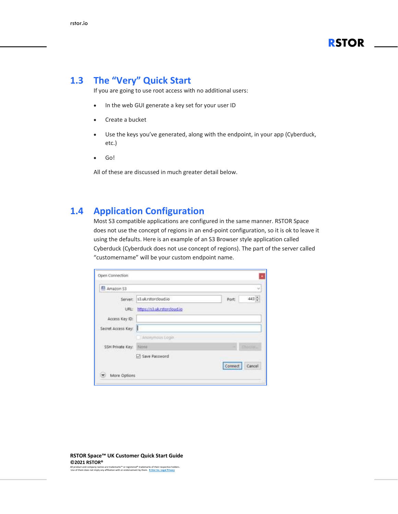

#### <span id="page-3-0"></span>**1.3 The "Very" Quick Start**

If you are going to use root access with no additional users:

- In the web GUI generate a key set for your user ID
- Create a bucket
- Use the keys you've generated, along with the endpoint, in your app (Cyberduck, etc.)
- Go!

All of these are discussed in much greater detail below.

#### <span id="page-3-1"></span>**1.4 Application Configuration**

Most S3 compatible applications are configured in the same manner. RSTOR Space does not use the concept of regions in an end-point configuration, so it is ok to leave it using the defaults. Here is an example of an S3 Browser style application called Cyberduck (Cyberduck does not use concept of regions). The part of the server called "customername" will be your custom endpoint name.

| Amazon 53          |                             |         |               |
|--------------------|-----------------------------|---------|---------------|
| Server:            | s3.uk.rstorcloud.io         | Port    | 443           |
| URL:               | https://s3.uk.rstorcloud.io |         |               |
| Access Key ID:     |                             |         |               |
| Secret Access Key: | il.                         |         |               |
|                    | Anonymous Login             |         |               |
| SSH Private Key:   | None                        |         | <b>Choole</b> |
|                    | Save Password               |         |               |
|                    |                             | Connect | Cancel        |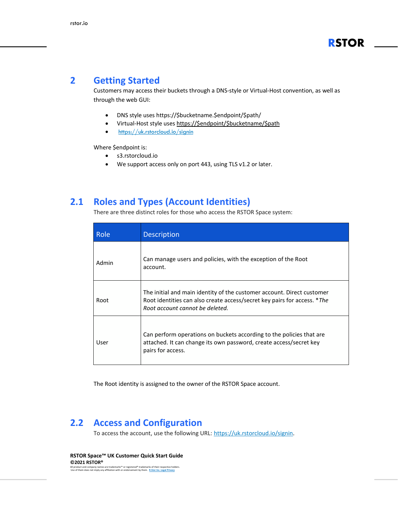#### <span id="page-4-0"></span>**2 Getting Started**

Customers may access their buckets through a DNS-style or Virtual-Host convention, as well as through the web GUI:

- DNS style uses https://\$bucketname.\$endpoint/\$path/
- Virtual-Host style uses [https://\\$endpoint/\\$bucketname/\\$path](https://$endpoint/$bucketname/$path)
- <https://uk.rstorcloud.io/signin>

Where \$endpoint is:

- s3.rstorcloud.io
- We support access only on port 443, using TLS v1.2 or later.

#### <span id="page-4-1"></span>**2.1 Roles and Types (Account Identities)**

There are three distinct roles for those who access the RSTOR Space system:

| Role  | Description                                                                                                                                                                           |
|-------|---------------------------------------------------------------------------------------------------------------------------------------------------------------------------------------|
| Admin | Can manage users and policies, with the exception of the Root<br>account.                                                                                                             |
| Root  | The initial and main identity of the customer account. Direct customer<br>Root identities can also create access/secret key pairs for access. *The<br>Root account cannot be deleted. |
| User  | Can perform operations on buckets according to the policies that are<br>attached. It can change its own password, create access/secret key<br>pairs for access.                       |

The Root identity is assigned to the owner of the RSTOR Space account.

#### <span id="page-4-2"></span>**2.2 Access and Configuration**

To access the account, use the following URL: [https://uk.rstorcloud.io/signin.](https://uk.rstorcloud.io/signin)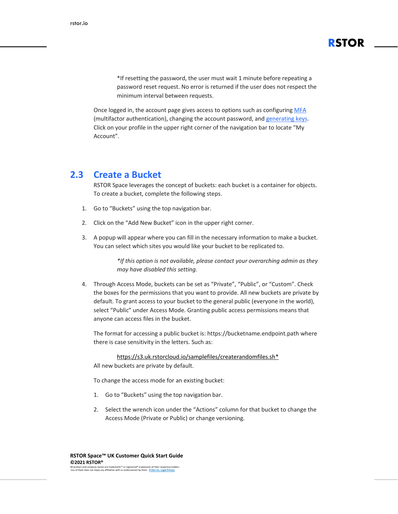\*If resetting the password, the user must wait 1 minute before repeating a password reset request. No error is returned if the user does not respect the minimum interval between requests.

**RSTOR**

Once logged in, the account page gives access to options such as configuring [MFA](#page-7-2) (multifactor [authentication\),](#page-7-2) changing the account password, and [generating](#page-7-0) keys. Click on your profile in the upper right corner of the navigation bar to locate "My Account".

#### <span id="page-5-0"></span>**2.3 Create a Bucket**

RSTOR Space leverages the concept of buckets: each bucket is a container for objects. To create a bucket, complete the following steps.

- 1. Go to "Buckets" using the top navigation bar.
- 2. Click on the "Add New Bucket" icon in the upper right corner.
- 3. A popup will appear where you can fill in the necessary information to make a bucket. You can select which sites you would like your bucket to be replicated to.

*\*If this option is not available, please contact your overarching admin as they may have disabled this setting.*

4. Through Access Mode, buckets can be set as "Private", "Public", or "Custom". Check the boxes for the permissions that you want to provide. All new buckets are private by default. To grant access to your bucket to the general public (everyone in the world), select "Public" under Access Mode. Granting public access permissions means that anyone can access files in the bucket.

The format for accessing a public bucket is: https://bucketname.endpoint.path where there is case sensitivity in the letters. Such as:

[https://s3.uk.rstorcloud.io/samplefiles/createrandomfiles.sh\\*](https://s3.uk.rstorcloud.io/samplefiles/createrandomfiles.sh)

All new buckets are private by default.

To change the access mode for an existing bucket:

- 1. Go to "Buckets" using the top navigation bar.
- 2. Select the wrench icon under the "Actions" column for that bucket to change the Access Mode (Private or Public) or change versioning.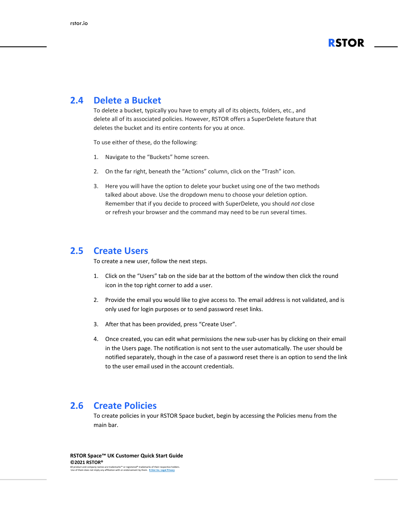

#### <span id="page-6-0"></span>**2.4 Delete a Bucket**

To delete a bucket, typically you have to empty all of its objects, folders, etc., and delete all of its associated policies. However, RSTOR offers a SuperDelete feature that deletes the bucket and its entire contents for you at once.

To use either of these, do the following:

- 1. Navigate to the "Buckets" home screen.
- 2. On the far right, beneath the "Actions" column, click on the "Trash" icon.
- 3. Here you will have the option to delete your bucket using one of the two methods talked about above. Use the dropdown menu to choose your deletion option. Remember that if you decide to proceed with SuperDelete, you should *not* close or refresh your browser and the command may need to be run several times.

#### <span id="page-6-1"></span>**2.5 Create Users**

To create a new user, follow the next steps.

- 1. Click on the "Users" tab on the side bar at the bottom of the window then click the round icon in the top right corner to add a user.
- 2. Provide the email you would like to give access to. The email address is not validated, and is only used for login purposes or to send password reset links.
- 3. After that has been provided, press "Create User".
- 4. Once created, you can edit what permissions the new sub-user has by clicking on their email in the Users page. The notification is not sent to the user automatically. The user should be notified separately, though in the case of a password reset there is an option to send the link to the user email used in the account credentials.

#### <span id="page-6-2"></span>**2.6 Create Policies**

To create policies in your RSTOR Space bucket, begin by accessing the Policies menu from the main bar.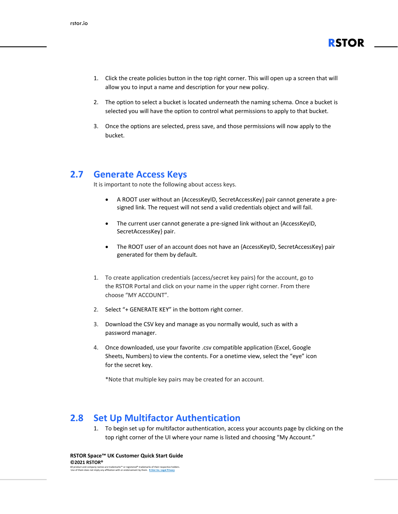

- 1. Click the create policies button in the top right corner. This will open up a screen that will allow you to input a name and description for your new policy.
- 2. The option to select a bucket is located underneath the naming schema. Once a bucket is selected you will have the option to control what permissions to apply to that bucket.
- 3. Once the options are selected, press save, and those permissions will now apply to the bucket.

#### <span id="page-7-0"></span>**2.7 Generate Access Keys**

It is important to note the following about access keys.

- A ROOT user without an {AccessKeyID, SecretAccessKey} pair cannot generate a presigned link. The request will not send a valid credentials object and will fail.
- The current user cannot generate a pre-signed link without an {AccessKeyID, SecretAccessKey} pair.
- The ROOT user of an account does not have an {AccessKeyID, SecretAccessKey} pair generated for them by default.
- 1. To create application credentials (access/secret key pairs) for the account, go to the RSTOR Portal and click on your name in the upper right corner. From there choose "MY ACCOUNT".
- 2. Select "+ GENERATE KEY" in the bottom right corner.
- 3. Download the CSV key and manage as you normally would, such as with a password manager.
- 4. Once downloaded, use your favorite .csv compatible application (Excel, Google Sheets, Numbers) to view the contents. For a onetime view, select the "eye" icon for the secret key.

\*Note that multiple key pairs may be created for an account.

#### <span id="page-7-1"></span>**2.8 Set Up Multifactor Authentication**

<span id="page-7-2"></span>1. To begin set up for multifactor authentication, access your accounts page by clicking on the top right corner of the UI where your name is listed and choosing "My Account."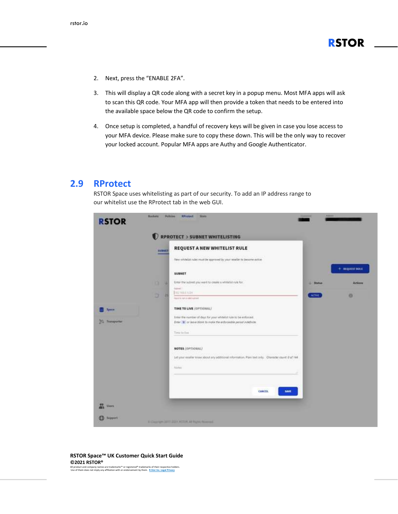- 2. Next, press the "ENABLE 2FA".
- 3. This will display a QR code along with a secret key in a popup menu. Most MFA apps will ask to scan this QR code. Your MFA app will then provide a token that needs to be entered into the available space below the QR code to confirm the setup.
- 4. Once setup is completed, a handful of recovery keys will be given in case you lose access to your MFA device. Please make sure to copy these down. This will be the only way to recover your locked account. Popular MFA apps are Authy and Google Authenticator.

#### <span id="page-8-0"></span>**2.9 RProtect**

RSTOR Space uses whitelisting as part of our security. To add an IP address range to our whitelist use the RProtect tab in the web GUI.

|                                       | <b>SUBSET</b> | RPROTECT > SUBNET WHITELISTING<br>REQUEST A NEW WHITELIST RULE                                                                                                        |               |                         |
|---------------------------------------|---------------|-----------------------------------------------------------------------------------------------------------------------------------------------------------------------|---------------|-------------------------|
|                                       |               | New whitelist rules must be expressed by your resulter to become active                                                                                               |               |                         |
|                                       |               | SUBNET                                                                                                                                                                |               | $+$ <b>NEQUEST NULL</b> |
|                                       | o<br>u        | <b>SAIN MELLING MODERN</b><br>Enter the subret you want to create a whitefail rule for                                                                                | Shirtun<br>٠  | <b>Actions</b>          |
|                                       | D<br>п        | <b>Report</b><br><b>ITE THEILVES</b><br>Paper is not a called subject.                                                                                                | <b>ACTIVE</b> | a                       |
| <b>System</b>                         |               | TIME TO LIVE (OPTIONAL)                                                                                                                                               |               |                         |
| <b><i><u>Statements</u></i></b><br>29 |               | Enter the number of days for your whitelist nile to be enforced.<br>Zinter (#) or leave himst to inplie the enforceable period indefinite:                            |               |                         |
|                                       |               | VA 17<br>Time to live                                                                                                                                                 |               |                         |
|                                       |               | <b>NOTES (OPTIONAL)</b>                                                                                                                                               |               |                         |
|                                       |               | Let your reseller know about any additional information. Plan text only. Cherotte: cause 0 of 144.<br><u> 1949 - Francisco Maria de Maria de Militar de Secundo I</u> |               |                         |
|                                       |               | Norm                                                                                                                                                                  |               |                         |
|                                       |               | CANCEL<br><b>SAVE</b>                                                                                                                                                 |               |                         |
|                                       |               |                                                                                                                                                                       |               |                         |

#### **RSTOR Space™ UK Customer Quick Start Guide ©2021 RSTOR®**

All product and company names are trademarks™ or registered® trademarks of their respective holders. Use of them does not imply any affiliation with or endorsement by them. **[R-Stor Inc. Legal Privacy](https://www.rstor.io/legal-privacy/)**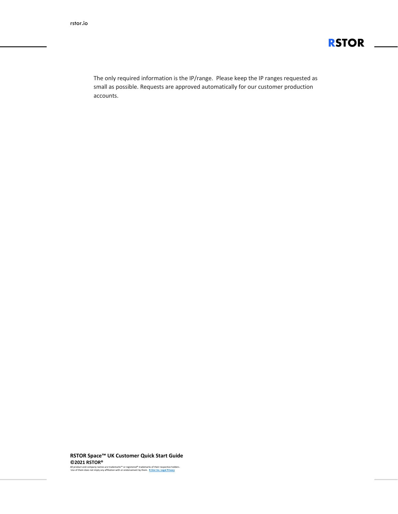

The only required information is the IP/range. Please keep the IP ranges requested as small as possible. Requests are approved automatically for our customer production accounts.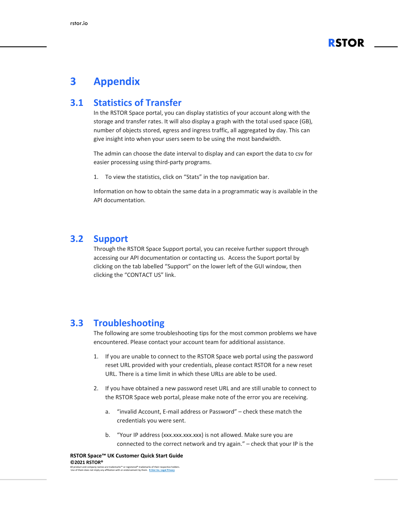

### <span id="page-10-0"></span>**3 Appendix**

#### <span id="page-10-1"></span>**3.1 Statistics of Transfer**

In the RSTOR Space portal, you can display statistics of your account along with the storage and transfer rates. It will also display a graph with the total used space (GB), number of objects stored, egress and ingress traffic, all aggregated by day. This can give insight into when your users seem to be using the most bandwidth.

The admin can choose the date interval to display and can export the data to csv for easier processing using third-party programs.

1. To view the statistics, click on "Stats" in the top navigation bar.

Information on how to obtain the same data in a programmatic way is available in the API documentation.

#### <span id="page-10-2"></span>**3.2 Support**

Through the RSTOR Space Support portal, you can receive further support through accessing our API documentation or contacting us. Access the Suport portal by clicking on the tab labelled "Support" on the lower left of the GUI window, then clicking the "CONTACT US" link.

#### <span id="page-10-3"></span>**3.3 Troubleshooting**

The following are some troubleshooting tips for the most common problems we have encountered. Please contact your account team for additional assistance.

- 1. If you are unable to connect to the RSTOR Space web portal using the password reset URL provided with your credentials, please contact RSTOR for a new reset URL. There is a time limit in which these URLs are able to be used.
- 2. If you have obtained a new password reset URL and are still unable to connect to the RSTOR Space web portal, please make note of the error you are receiving.
	- a. "invalid Account, E-mail address or Password" check these match the credentials you were sent.
	- b. "Your IP address (xxx.xxx.xxx.xxx) is not allowed. Make sure you are connected to the correct network and try again." – check that your IP is the